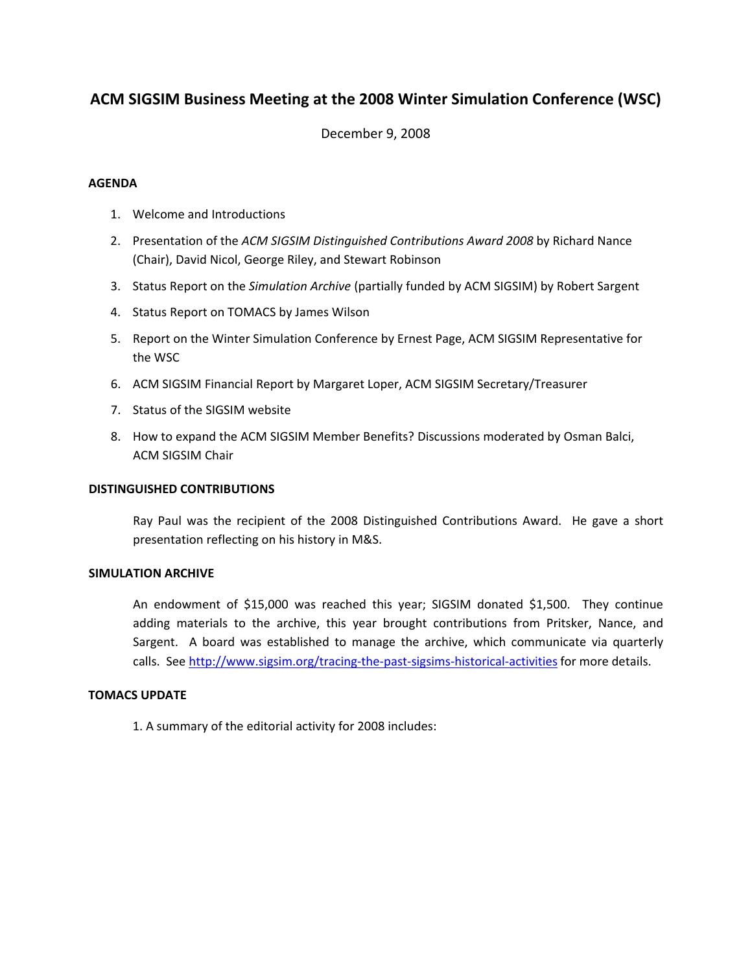## **ACM SIGSIM Business Meeting at the 2008 Winter Simulation Conference (WSC)**

December 9, 2008

## **AGENDA**

- 1. Welcome and Introductions
- 2. Presentation of the *ACM SIGSIM Distinguished Contributions Award 2008* by Richard Nance (Chair), David Nicol, George Riley, and Stewart Robinson
- 3. Status Report on the *Simulation Archive* (partially funded by ACM SIGSIM) by Robert Sargent
- 4. Status Report on TOMACS by James Wilson
- 5. Report on the Winter Simulation Conference by Ernest Page, ACM SIGSIM Representative for the WSC
- 6. ACM SIGSIM Financial Report by Margaret Loper, ACM SIGSIM Secretary/Treasurer
- 7. Status of the SIGSIM website
- 8. How to expand the ACM SIGSIM Member Benefits? Discussions moderated by Osman Balci, ACM SIGSIM Chair

### **DISTINGUISHED CONTRIBUTIONS**

Ray Paul was the recipient of the 2008 Distinguished Contributions Award. He gave a short presentation reflecting on his history in M&S.

## **SIMULATION ARCHIVE**

An endowment of \$15,000 was reached this year; SIGSIM donated \$1,500. They continue adding materials to the archive, this year brought contributions from Pritsker, Nance, and Sargent. A board was established to manage the archive, which communicate via quarterly calls. See [http://www.sigsim.org/tracing](http://www.sigsim.org/tracing-the-past-sigsims-historical-activities)-the-past-sigsims-historical-activities for more details.

## **TOMACS UPDATE**

1. A summary of the editorial activity for 2008 includes: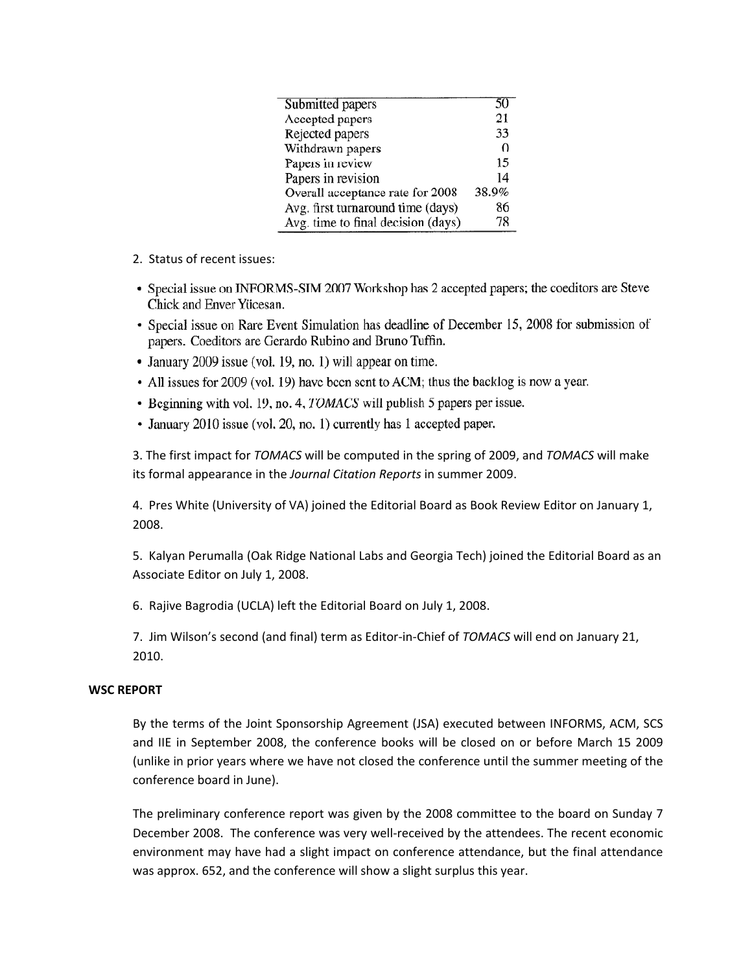| Submitted papers                   | 50       |
|------------------------------------|----------|
| Accepted papers                    | 21       |
| Rejected papers                    | 33       |
| Withdrawn papers                   | $\Omega$ |
| Papers in review                   | 15       |
| Papers in revision                 | 14       |
| Overall acceptance rate for 2008   | 38.9%    |
| Avg. first turnaround time (days)  | 86       |
| Avg. time to final decision (days) | 78       |

- 2. Status of recent issues:
- Special issue on INFORMS-SIM 2007 Workshop has 2 accepted papers; the coeditors are Steve Chick and Enver Yücesan.
- Special issue on Rare Event Simulation has deadline of December 15, 2008 for submission of papers. Coeditors are Gerardo Rubino and Bruno Tuffin.
- January 2009 issue (vol. 19, no. 1) will appear on time.
- All issues for 2009 (vol. 19) have been sent to ACM; thus the backlog is now a year.
- Beginning with vol. 19, no. 4, *TOMACS* will publish 5 papers per issue.
- January 2010 issue (vol. 20, no. 1) currently has 1 accepted paper.

3. The first impact for *TOMACS* will be computed in the spring of 2009, and *TOMACS* will make its formal appearance in the *Journal Citation Reports* in summer 2009.

4. Pres White (University of VA) joined the Editorial Board as Book Review Editor on January 1, 2008.

5. Kalyan Perumalla (Oak Ridge National Labs and Georgia Tech) joined the Editorial Board as an Associate Editor on July 1, 2008.

6. Rajive Bagrodia (UCLA) left the Editorial Board on July 1, 2008.

7. Jim Wilson's second (and final) term as Editor‐in‐Chief of *TOMACS* will end on January 21, 2010.

## **WSC REPORT**

By the terms of the Joint Sponsorship Agreement (JSA) executed between INFORMS, ACM, SCS and IIE in September 2008, the conference books will be closed on or before March 15 2009 (unlike in prior years where we have not closed the conference until the summer meeting of the conference board in June).

The preliminary conference report was given by the 2008 committee to the board on Sunday 7 December 2008. The conference was very well‐received by the attendees. The recent economic environment may have had a slight impact on conference attendance, but the final attendance was approx. 652, and the conference will show a slight surplus this year.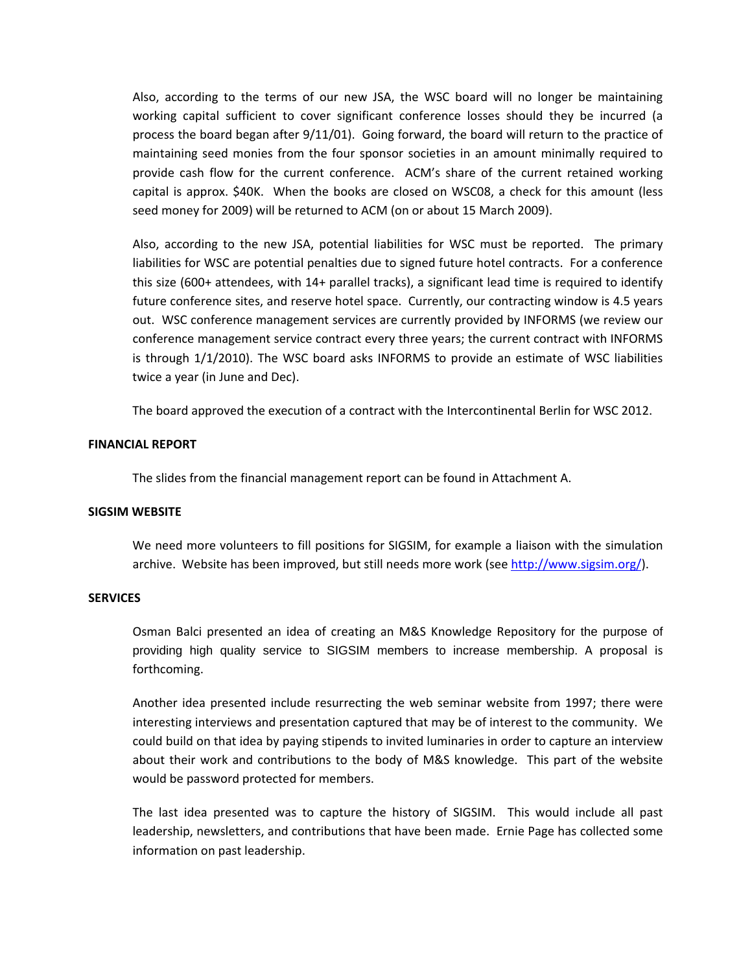Also, according to the terms of our new JSA, the WSC board will no longer be maintaining working capital sufficient to cover significant conference losses should they be incurred (a process the board began after 9/11/01). Going forward, the board will return to the practice of maintaining seed monies from the four sponsor societies in an amount minimally required to provide cash flow for the current conference. ACM's share of the current retained working capital is approx. \$40K. When the books are closed on WSC08, a check for this amount (less seed money for 2009) will be returned to ACM (on or about 15 March 2009).

Also, according to the new JSA, potential liabilities for WSC must be reported. The primary liabilities for WSC are potential penalties due to signed future hotel contracts. For a conference this size (600+ attendees, with 14+ parallel tracks), a significant lead time is required to identify future conference sites, and reserve hotel space. Currently, our contracting window is 4.5 years out. WSC conference management services are currently provided by INFORMS (we review our conference management service contract every three years; the current contract with INFORMS is through 1/1/2010). The WSC board asks INFORMS to provide an estimate of WSC liabilities twice a year (in June and Dec).

The board approved the execution of a contract with the Intercontinental Berlin for WSC 2012.

#### **FINANCIAL REPORT**

The slides from the financial management report can be found in Attachment A.

#### **SIGSIM WEBSITE**

We need more volunteers to fill positions for SIGSIM, for example a liaison with the simulation archive. Website has been improved, but still needs more work (see <http://www.sigsim.org/>).

#### **SERVICES**

Osman Balci presented an idea of creating an M&S Knowledge Repository for the purpose of providing high quality service to SIGSIM members to increase membership. A proposal is forthcoming.

Another idea presented include resurrecting the web seminar website from 1997; there were interesting interviews and presentation captured that may be of interest to the community. We could build on that idea by paying stipends to invited luminaries in order to capture an interview about their work and contributions to the body of M&S knowledge. This part of the website would be password protected for members.

The last idea presented was to capture the history of SIGSIM. This would include all past leadership, newsletters, and contributions that have been made. Ernie Page has collected some information on past leadership.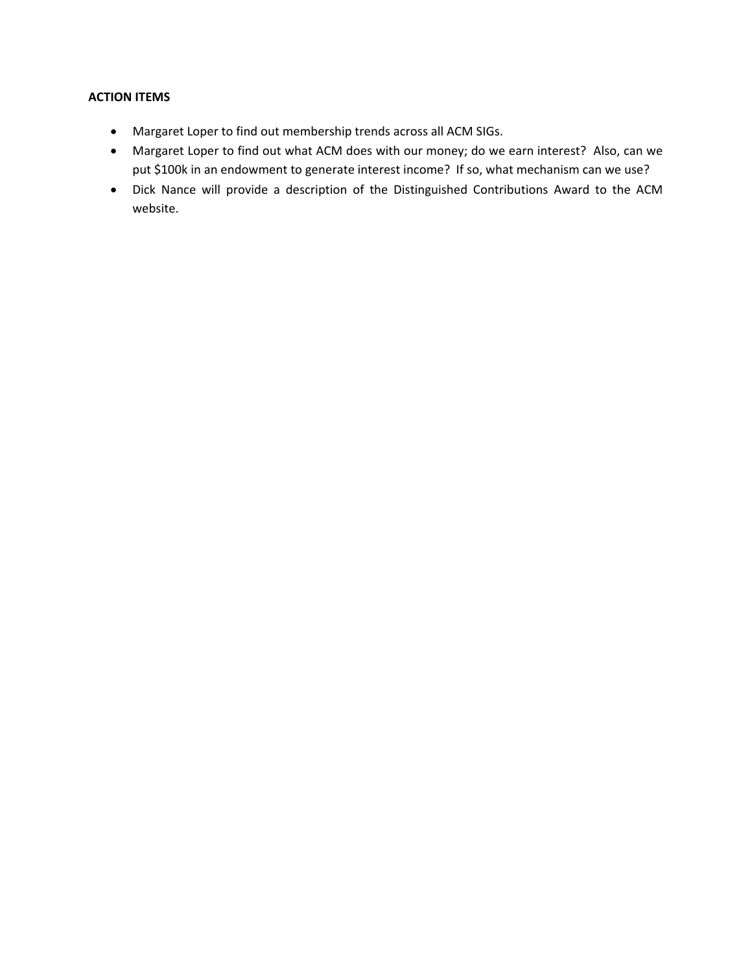## **ACTION ITEMS**

- Margaret Loper to find out membership trends across all ACM SIGs.
- Margaret Loper to find out what ACM does with our money; do we earn interest? Also, can we put \$100k in an endowment to generate interest income? If so, what mechanism can we use?
- Dick Nance will provide a description of the Distinguished Contributions Award to the ACM website.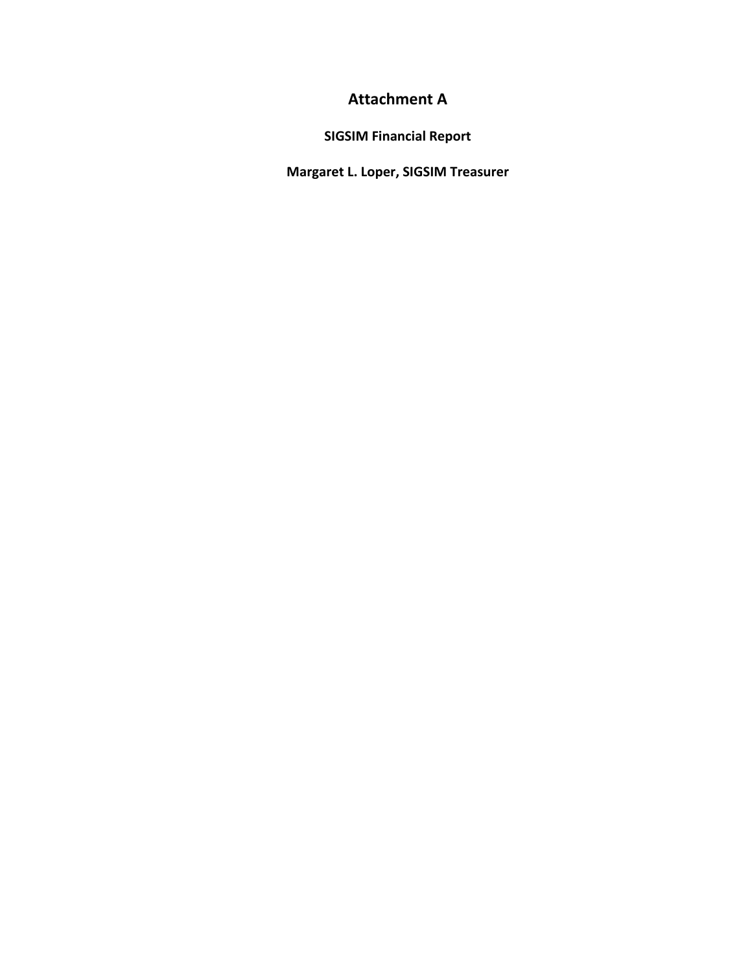# **Attachment A**

**SIGSIM Financial Report**

**Margaret L. Loper, SIGSIM Treasurer**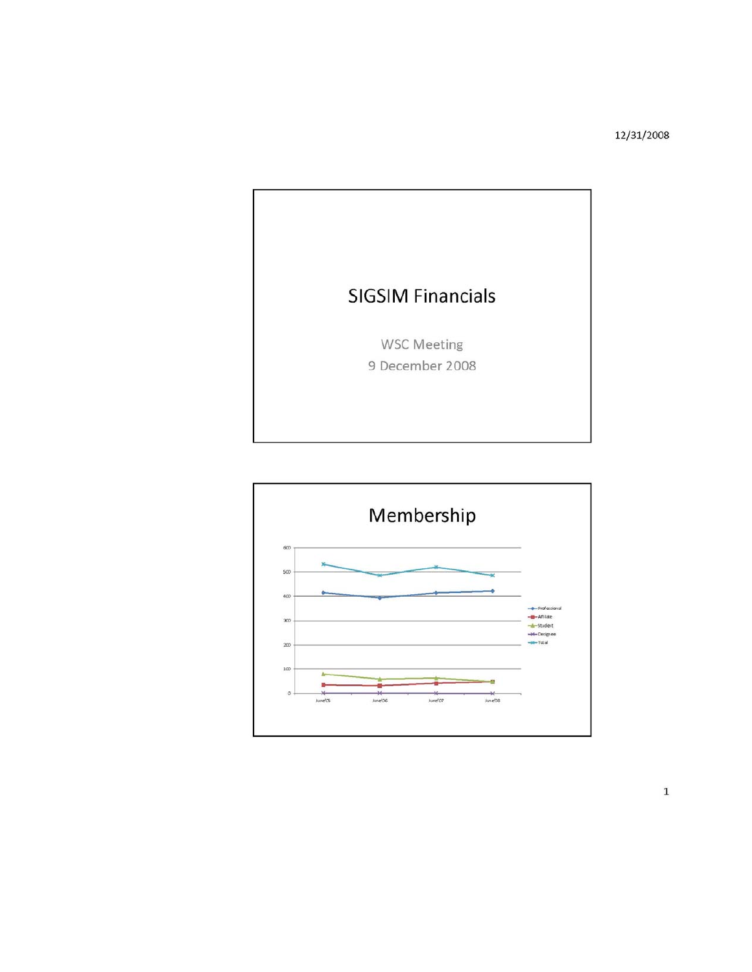12/31/2008



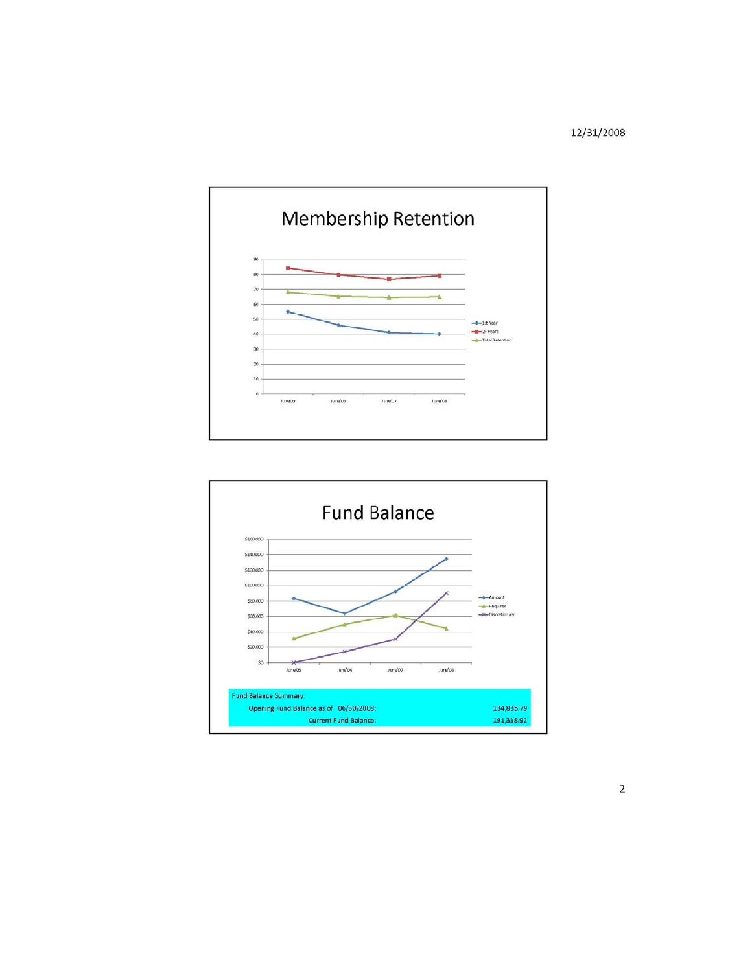12/31/2008



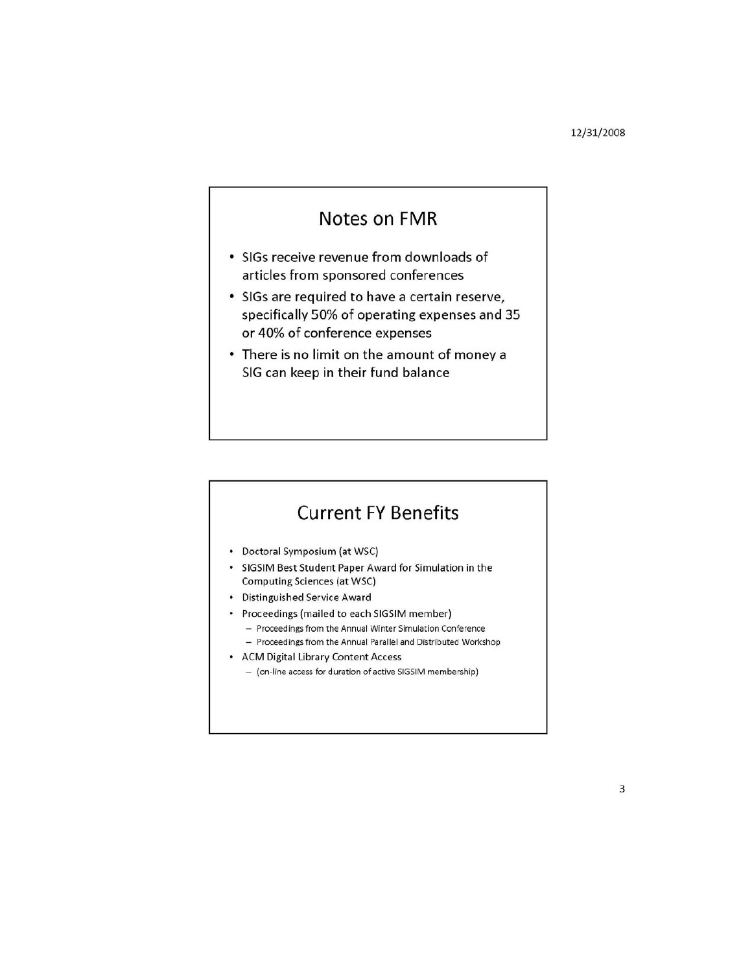# Notes on FMR

- · SIGs receive revenue from downloads of articles from sponsored conferences
- · SIGs are required to have a certain reserve, specifically 50% of operating expenses and 35 or 40% of conference expenses
- There is no limit on the amount of money a SIG can keep in their fund balance

# **Current FY Benefits**

- Doctoral Symposium (at WSC)
- SIGSIM Best Student Paper Award for Simulation in the **Computing Sciences (at WSC)**
- Distinguished Service Award
- Proceedings (mailed to each SIGSIM member)
	- Proceedings from the Annual Winter Simulation Conference
	- Proceedings from the Annual Parallel and Distributed Workshop
- ACM Digital Library Content Access - (on-line access for duration of active SIGSIM membership)